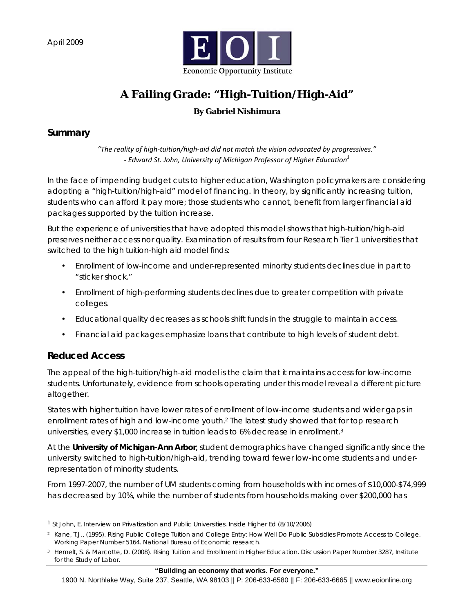April 2009



# **A Failing Grade: "High-Tuition/High-Aid"**

## **By Gabriel Nishimura**

### **Summary**

*"The reality of high‐tuition/high‐aid did not match the vision advocated by progressives." ‐ Edward St. John, University of Michigan Professor of Higher Education1*

In the face of impending budget cuts to higher education, Washington policymakers are considering adopting a "high-tuition/high-aid" model of financing. In theory, by significantly increasing tuition, students who can afford it pay more; those students who cannot, benefit from larger financial aid packages supported by the tuition increase.

But the experience of universities that have adopted this model shows that high-tuition/high-aid preserves neither access nor quality. Examination of results from four Research Tier 1 universities that switched to the high tuition-high aid model finds:

- Enrollment of low-income and under-represented minority students declines due in part to "sticker shock."
- Enrollment of high-performing students declines due to greater competition with private colleges.
- Educational quality decreases as schools shift funds in the struggle to maintain access.
- Financial aid packages emphasize loans that contribute to high levels of student debt.

## **Reduced Access**

l

The appeal of the high-tuition/high-aid model is the claim that it maintains access for low-income students. Unfortunately, evidence from schools operating under this model reveal a different picture altogether.

States with higher tuition have lower rates of enrollment of low-income students and wider gaps in enrollment rates of high and low-income youth.2 The latest study showed that for top research universities, every \$1,000 increase in tuition leads to 6% decrease in enrollment.3

At the **University of Michigan-Ann Arbor**, student demographics have changed significantly since the university switched to high-tuition/high-aid, trending toward fewer low-income students and underrepresentation of minority students.

From 1997-2007, the number of UM students coming from households with incomes of \$10,000-\$74,999 has decreased by 10%, while the number of students from households making over \$200,000 has

<sup>1</sup> St John, E. Interview on Privatization and Public Universities. Inside Higher Ed (8/10/2006)

<sup>2</sup> Kane, T.J., (1995). Rising Public College Tuition and College Entry: How Well Do Public Subsidies Promote Access to College. Working Paper Number 5164. National Bureau of Economic research.

<sup>3</sup> Hemelt, S. & Marcotte, D. (2008). *Rising Tuition and Enrollment in Higher Education*. Discussion Paper Number 3287, Institute for the Study of Labor.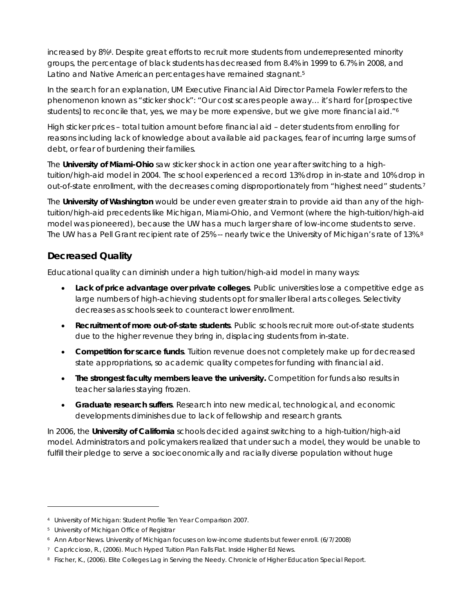increased by 8%4. Despite great efforts to recruit more students from underrepresented minority groups, the percentage of black students has decreased from 8.4% in 1999 to 6.7% in 2008, and Latino and Native American percentages have remained stagnant.<sup>5</sup>

In the search for an explanation, UM Executive Financial Aid Director Pamela Fowler refers to the phenomenon known as "sticker shock": "Our cost scares people away… it's hard for [prospective students] to reconcile that, yes, we may be more expensive, but we give more financial aid."<sup>6</sup>

High sticker prices – total tuition amount before financial aid – deter students from enrolling for reasons including lack of knowledge about available aid packages, fear of incurring large sums of debt, or fear of burdening their families.

The **University of Miami-Ohio** saw sticker shock in action one year after switching to a hightuition/high-aid model in 2004. The school experienced a record 13% drop in in-state and 10% drop in out-of-state enrollment, with the decreases coming disproportionately from "highest need" students.7

The **University of Washington** would be under even greater strain to provide aid than any of the hightuition/high-aid precedents like Michigan, Miami-Ohio, and Vermont (where the high-tuition/high-aid model was pioneered), because the UW has a much larger share of low-income students to serve. The UW has a Pell Grant recipient rate of 25% -- nearly twice the University of Michigan's rate of 13%.<sup>8</sup>

## **Decreased Quality**

Educational quality can diminish under a high tuition/high-aid model in many ways:

- **Lack of price advantage over private colleges**. Public universities lose a competitive edge as large numbers of high-achieving students opt for smaller liberal arts colleges. Selectivity decreases as schools seek to counteract lower enrollment.
- **Recruitment of more out-of-state students**. Public schools recruit more out-of-state students due to the higher revenue they bring in, displacing students from in-state.
- **Competition for scarce funds**. Tuition revenue does not completely make up for decreased state appropriations, so academic quality competes for funding with financial aid.
- **The strongest faculty members leave the university.** Competition for funds also results in teacher salaries staying frozen.
- **Graduate research suffers**. Research into new medical, technological, and economic developments diminishes due to lack of fellowship and research grants.

In 2006, the **University of California** schools decided against switching to a high-tuition/high-aid model. Administrators and policymakers realized that under such a model, they would be unable to fulfill their pledge to serve a socioeconomically and racially diverse population without huge

l

<sup>4</sup> University of Michigan: Student Profile Ten Year Comparison 2007.

<sup>5</sup> University of Michigan Office of Registrar

<sup>6</sup> Ann Arbor News. University of Michigan focuses on low-income students but fewer enroll. (6/7/2008)

<sup>7</sup> Capriccioso, R., (2006). *Much Hyped Tuition Plan Falls Flat*. Inside Higher Ed News.

<sup>8</sup> Fischer, K., (2006). *Elite Colleges Lag in Serving the Needy*. Chronicle of Higher Education Special Report.